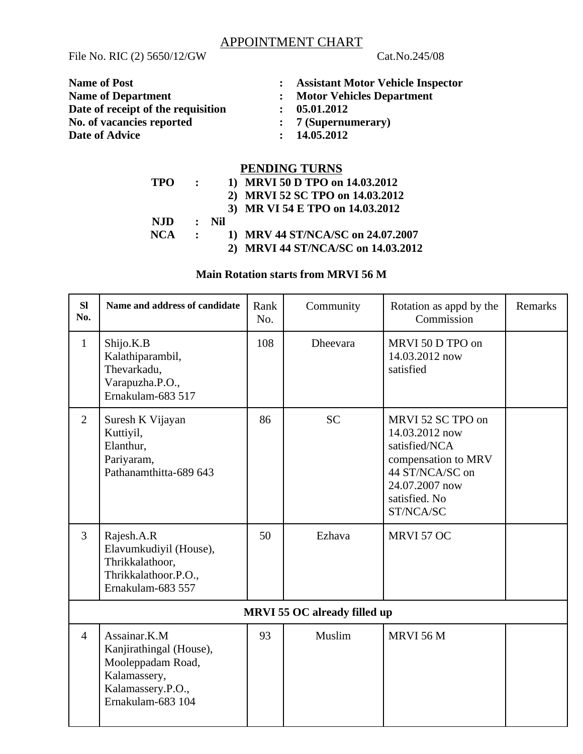#### APPOINTMENT CHART

File No. RIC (2) 5650/12/GW Cat.No.245/08

| <b>Name of Post</b>                | : Assistant Motor Vehicle Inspector |
|------------------------------------|-------------------------------------|
| <b>Name of Department</b>          | <b>Motor Vehicles Department</b>    |
| Date of receipt of the requisition | 05.01.2012                          |
| No. of vacancies reported          | $: 7$ (Supernumerary)               |
| <b>Date of Advice</b>              | : 14.05.2012                        |
|                                    |                                     |

# **PENDING TURNS**

| <b>TPO</b> |              |                  | 1) MRVI 50 D TPO on 14.03.2012     |
|------------|--------------|------------------|------------------------------------|
|            |              |                  | 2) MRVI 52 SC TPO on 14.03.2012    |
|            |              |                  | 3) MR VI 54 E TPO on 14.03.2012    |
| NJD.       |              | $\therefore$ Nil |                                    |
| NCA        | $\mathbf{r}$ |                  | 1) MRV 44 ST/NCA/SC on 24.07.2007  |
|            |              |                  | 2) MRVI 44 ST/NCA/SC on 14.03.2012 |

## **Main Rotation starts from MRVI 56 M**

| <b>SI</b><br>No. | Name and address of candidate                                                                                          | Rank<br>No. | Community       | Rotation as appd by the<br>Commission                                                                                                          | Remarks |  |  |
|------------------|------------------------------------------------------------------------------------------------------------------------|-------------|-----------------|------------------------------------------------------------------------------------------------------------------------------------------------|---------|--|--|
| $\mathbf{1}$     | Shijo.K.B<br>Kalathiparambil,<br>Thevarkadu,<br>Varapuzha.P.O.,<br>Ernakulam-683 517                                   | 108         | <b>Dheevara</b> | MRVI 50 D TPO on<br>14.03.2012 now<br>satisfied                                                                                                |         |  |  |
| $\overline{2}$   | Suresh K Vijayan<br>Kuttiyil,<br>Elanthur,<br>Pariyaram,<br>Pathanamthitta-689 643                                     | 86          | <b>SC</b>       | MRVI 52 SC TPO on<br>14.03.2012 now<br>satisfied/NCA<br>compensation to MRV<br>44 ST/NCA/SC on<br>24.07.2007 now<br>satisfied. No<br>ST/NCA/SC |         |  |  |
| $\mathbf{3}$     | Rajesh.A.R<br>Elavumkudiyil (House),<br>Thrikkalathoor,<br>Thrikkalathoor.P.O.,<br>Ernakulam-683 557                   | 50          | Ezhava          | MRVI 57 OC                                                                                                                                     |         |  |  |
|                  | <b>MRVI 55 OC already filled up</b>                                                                                    |             |                 |                                                                                                                                                |         |  |  |
| $\overline{4}$   | Assainar.K.M<br>Kanjirathingal (House),<br>Mooleppadam Road,<br>Kalamassery,<br>Kalamassery.P.O.,<br>Ernakulam-683 104 | 93          | Muslim          | <b>MRVI 56 M</b>                                                                                                                               |         |  |  |